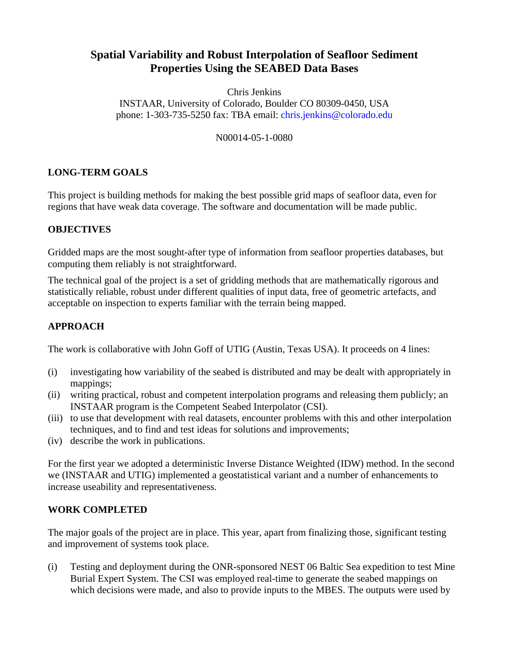# **Spatial Variability and Robust Interpolation of Seafloor Sediment Properties Using the SEABED Data Bases**

Chris Jenkins INSTAAR, University of Colorado, Boulder CO 80309-0450, USA phone: 1-303-735-5250 fax: TBA email: [chris.jenkins@colorado.edu](mailto:chris.jenkins@colorado.edu)

#### N00014-05-1-0080

### **LONG-TERM GOALS**

This project is building methods for making the best possible grid maps of seafloor data, even for regions that have weak data coverage. The software and documentation will be made public.

### **OBJECTIVES**

Gridded maps are the most sought-after type of information from seafloor properties databases, but computing them reliably is not straightforward.

The technical goal of the project is a set of gridding methods that are mathematically rigorous and statistically reliable, robust under different qualities of input data, free of geometric artefacts, and acceptable on inspection to experts familiar with the terrain being mapped.

### **APPROACH**

The work is collaborative with John Goff of UTIG (Austin, Texas USA). It proceeds on 4 lines:

- (i) investigating how variability of the seabed is distributed and may be dealt with appropriately in mappings;
- (ii) writing practical, robust and competent interpolation programs and releasing them publicly; an INSTAAR program is the Competent Seabed Interpolator (CSI).
- (iii) to use that development with real datasets, encounter problems with this and other interpolation techniques, and to find and test ideas for solutions and improvements;
- (iv) describe the work in publications.

For the first year we adopted a deterministic Inverse Distance Weighted (IDW) method. In the second we (INSTAAR and UTIG) implemented a geostatistical variant and a number of enhancements to increase useability and representativeness.

### **WORK COMPLETED**

The major goals of the project are in place. This year, apart from finalizing those, significant testing and improvement of systems took place.

(i) Testing and deployment during the ONR-sponsored NEST 06 Baltic Sea expedition to test Mine Burial Expert System. The CSI was employed real-time to generate the seabed mappings on which decisions were made, and also to provide inputs to the MBES. The outputs were used by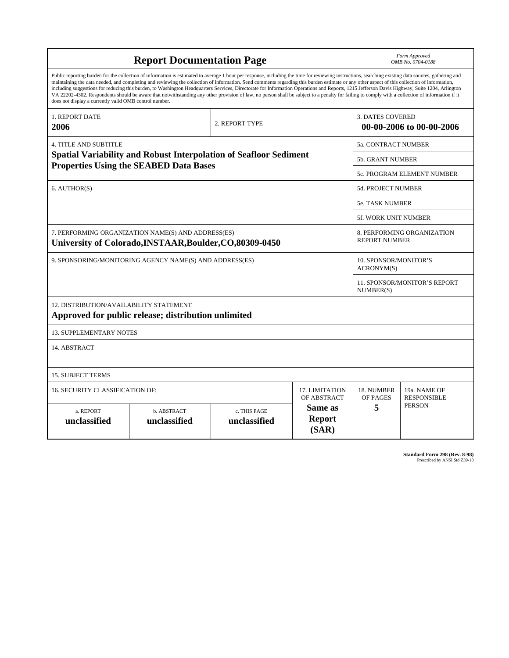| <b>Report Documentation Page</b>                                                                                                                                                                                                                                                                                                                                                                                                                                                                                                                                                                                                                                                                                                                                                                                                                                   |                             |                              |                                                     | Form Approved<br>OMB No. 0704-0188                 |                                    |  |
|--------------------------------------------------------------------------------------------------------------------------------------------------------------------------------------------------------------------------------------------------------------------------------------------------------------------------------------------------------------------------------------------------------------------------------------------------------------------------------------------------------------------------------------------------------------------------------------------------------------------------------------------------------------------------------------------------------------------------------------------------------------------------------------------------------------------------------------------------------------------|-----------------------------|------------------------------|-----------------------------------------------------|----------------------------------------------------|------------------------------------|--|
| Public reporting burden for the collection of information is estimated to average 1 hour per response, including the time for reviewing instructions, searching existing data sources, gathering and<br>maintaining the data needed, and completing and reviewing the collection of information. Send comments regarding this burden estimate or any other aspect of this collection of information,<br>including suggestions for reducing this burden, to Washington Headquarters Services, Directorate for Information Operations and Reports, 1215 Jefferson Davis Highway, Suite 1204, Arlington<br>VA 22202-4302. Respondents should be aware that notwithstanding any other provision of law, no person shall be subject to a penalty for failing to comply with a collection of information if it<br>does not display a currently valid OMB control number. |                             |                              |                                                     |                                                    |                                    |  |
| <b>1. REPORT DATE</b><br>2006                                                                                                                                                                                                                                                                                                                                                                                                                                                                                                                                                                                                                                                                                                                                                                                                                                      | 2. REPORT TYPE              |                              | <b>3. DATES COVERED</b><br>00-00-2006 to 00-00-2006 |                                                    |                                    |  |
| <b>4. TITLE AND SUBTITLE</b>                                                                                                                                                                                                                                                                                                                                                                                                                                                                                                                                                                                                                                                                                                                                                                                                                                       |                             |                              |                                                     | 5a. CONTRACT NUMBER                                |                                    |  |
| <b>Spatial Variability and Robust Interpolation of Seafloor Sediment</b><br><b>Properties Using the SEABED Data Bases</b>                                                                                                                                                                                                                                                                                                                                                                                                                                                                                                                                                                                                                                                                                                                                          |                             |                              |                                                     | <b>5b. GRANT NUMBER</b>                            |                                    |  |
|                                                                                                                                                                                                                                                                                                                                                                                                                                                                                                                                                                                                                                                                                                                                                                                                                                                                    |                             |                              |                                                     | 5c. PROGRAM ELEMENT NUMBER                         |                                    |  |
| 6. AUTHOR(S)                                                                                                                                                                                                                                                                                                                                                                                                                                                                                                                                                                                                                                                                                                                                                                                                                                                       |                             |                              |                                                     | <b>5d. PROJECT NUMBER</b>                          |                                    |  |
|                                                                                                                                                                                                                                                                                                                                                                                                                                                                                                                                                                                                                                                                                                                                                                                                                                                                    |                             |                              |                                                     | <b>5e. TASK NUMBER</b>                             |                                    |  |
|                                                                                                                                                                                                                                                                                                                                                                                                                                                                                                                                                                                                                                                                                                                                                                                                                                                                    |                             |                              |                                                     | <b>5f. WORK UNIT NUMBER</b>                        |                                    |  |
| 7. PERFORMING ORGANIZATION NAME(S) AND ADDRESS(ES)<br>University of Colorado, INSTAAR, Boulder, CO, 80309-0450                                                                                                                                                                                                                                                                                                                                                                                                                                                                                                                                                                                                                                                                                                                                                     |                             |                              |                                                     | 8. PERFORMING ORGANIZATION<br><b>REPORT NUMBER</b> |                                    |  |
| 9. SPONSORING/MONITORING AGENCY NAME(S) AND ADDRESS(ES)                                                                                                                                                                                                                                                                                                                                                                                                                                                                                                                                                                                                                                                                                                                                                                                                            |                             |                              |                                                     | 10. SPONSOR/MONITOR'S<br>ACRONYM(S)                |                                    |  |
|                                                                                                                                                                                                                                                                                                                                                                                                                                                                                                                                                                                                                                                                                                                                                                                                                                                                    |                             |                              |                                                     | 11. SPONSOR/MONITOR'S REPORT<br>NUMBER(S)          |                                    |  |
| 12. DISTRIBUTION/AVAILABILITY STATEMENT<br>Approved for public release; distribution unlimited                                                                                                                                                                                                                                                                                                                                                                                                                                                                                                                                                                                                                                                                                                                                                                     |                             |                              |                                                     |                                                    |                                    |  |
| <b>13. SUPPLEMENTARY NOTES</b>                                                                                                                                                                                                                                                                                                                                                                                                                                                                                                                                                                                                                                                                                                                                                                                                                                     |                             |                              |                                                     |                                                    |                                    |  |
| 14. ABSTRACT                                                                                                                                                                                                                                                                                                                                                                                                                                                                                                                                                                                                                                                                                                                                                                                                                                                       |                             |                              |                                                     |                                                    |                                    |  |
| <b>15. SUBJECT TERMS</b>                                                                                                                                                                                                                                                                                                                                                                                                                                                                                                                                                                                                                                                                                                                                                                                                                                           |                             |                              |                                                     |                                                    |                                    |  |
| <b>16. SECURITY CLASSIFICATION OF:</b><br><b>17. LIMITATION</b><br>OF ABSTRACT                                                                                                                                                                                                                                                                                                                                                                                                                                                                                                                                                                                                                                                                                                                                                                                     |                             |                              |                                                     | 18. NUMBER<br>OF PAGES                             | 19a. NAME OF<br><b>RESPONSIBLE</b> |  |
| a. REPORT<br>unclassified                                                                                                                                                                                                                                                                                                                                                                                                                                                                                                                                                                                                                                                                                                                                                                                                                                          | b. ABSTRACT<br>unclassified | c. THIS PAGE<br>unclassified | Same as<br><b>Report</b><br>(SAR)                   | 5                                                  | <b>PERSON</b>                      |  |

**Standard Form 298 (Rev. 8-98)**<br>Prescribed by ANSI Std Z39-18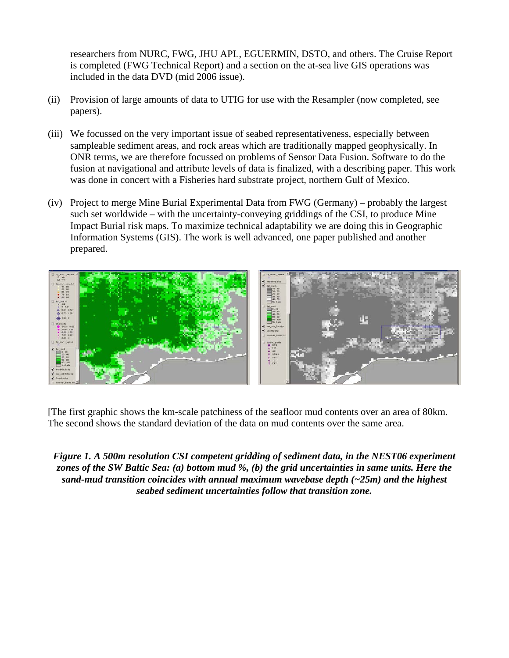researchers from NURC, FWG, JHU APL, EGUERMIN, DSTO, and others. The Cruise Report is completed (FWG Technical Report) and a section on the at-sea live GIS operations was included in the data DVD (mid 2006 issue).

- (ii) Provision of large amounts of data to UTIG for use with the Resampler (now completed, see papers).
- (iii) We focussed on the very important issue of seabed representativeness, especially between sampleable sediment areas, and rock areas which are traditionally mapped geophysically. In ONR terms, we are therefore focussed on problems of Sensor Data Fusion. Software to do the fusion at navigational and attribute levels of data is finalized, with a describing paper. This work was done in concert with a Fisheries hard substrate project, northern Gulf of Mexico.
- (iv) Project to merge Mine Burial Experimental Data from FWG (Germany) probably the largest such set worldwide – with the uncertainty-conveying griddings of the CSI, to produce Mine Impact Burial risk maps. To maximize technical adaptability we are doing this in Geographic Information Systems (GIS). The work is well advanced, one paper published and another prepared.



[The first graphic shows the km-scale patchiness of the seafloor mud contents over an area of 80km. The second shows the standard deviation of the data on mud contents over the same area.

*Figure 1. A 500m resolution CSI competent gridding of sediment data, in the NEST06 experiment zones of the SW Baltic Sea: (a) bottom mud %, (b) the grid uncertainties in same units. Here the sand-mud transition coincides with annual maximum wavebase depth (~25m) and the highest seabed sediment uncertainties follow that transition zone.*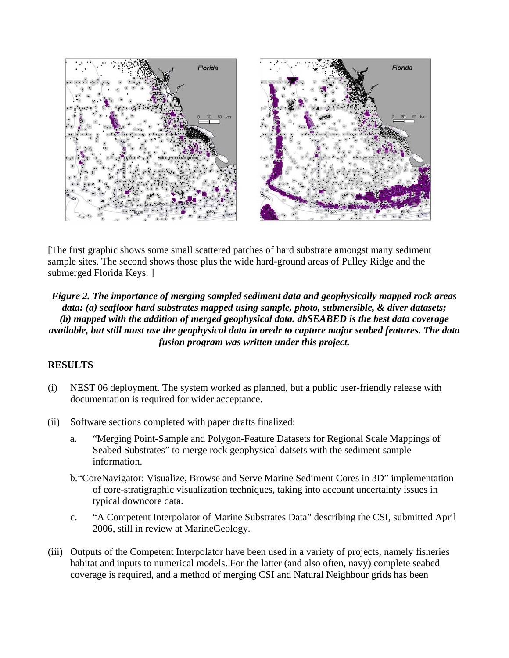

[The first graphic shows some small scattered patches of hard substrate amongst many sediment sample sites. The second shows those plus the wide hard-ground areas of Pulley Ridge and the submerged Florida Keys. ]

*Figure 2. The importance of merging sampled sediment data and geophysically mapped rock areas data: (a) seafloor hard substrates mapped using sample, photo, submersible, & diver datasets; (b) mapped with the addition of merged geophysical data. dbSEABED is the best data coverage available, but still must use the geophysical data in oredr to capture major seabed features. The data fusion program was written under this project.* 

### **RESULTS**

- (i) NEST 06 deployment. The system worked as planned, but a public user-friendly release with documentation is required for wider acceptance.
- (ii) Software sections completed with paper drafts finalized:
	- a. "Merging Point-Sample and Polygon-Feature Datasets for Regional Scale Mappings of Seabed Substrates" to merge rock geophysical datsets with the sediment sample information.
	- b."CoreNavigator: Visualize, Browse and Serve Marine Sediment Cores in 3D" implementation of core-stratigraphic visualization techniques, taking into account uncertainty issues in typical downcore data.
	- c. "A Competent Interpolator of Marine Substrates Data" describing the CSI, submitted April 2006, still in review at MarineGeology.
- (iii) Outputs of the Competent Interpolator have been used in a variety of projects, namely fisheries habitat and inputs to numerical models. For the latter (and also often, navy) complete seabed coverage is required, and a method of merging CSI and Natural Neighbour grids has been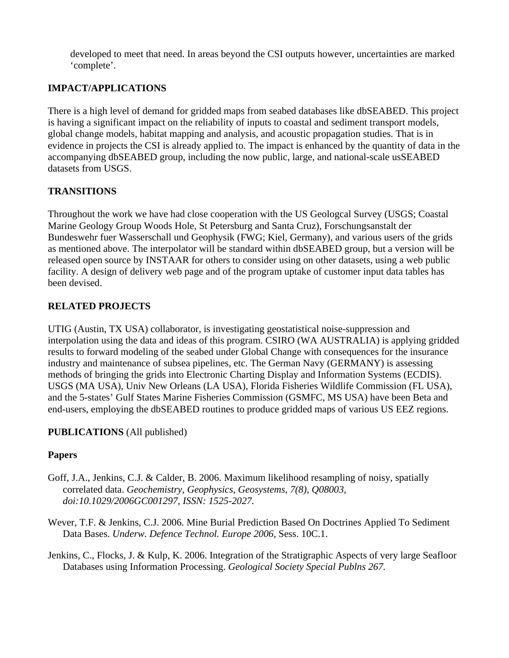developed to meet that need. In areas beyond the CSI outputs however, uncertainties are marked 'complete'.

## **IMPACT/APPLICATIONS**

There is a high level of demand for gridded maps from seabed databases like dbSEABED. This project is having a significant impact on the reliability of inputs to coastal and sediment transport models, global change models, habitat mapping and analysis, and acoustic propagation studies. That is in evidence in projects the CSI is already applied to. The impact is enhanced by the quantity of data in the accompanying dbSEABED group, including the now public, large, and national-scale usSEABED datasets from USGS.

### **TRANSITIONS**

Throughout the work we have had close cooperation with the US Geologcal Survey (USGS; Coastal Marine Geology Group Woods Hole, St Petersburg and Santa Cruz), Forschungsanstalt der Bundeswehr fuer Wasserschall und Geophysik (FWG; Kiel, Germany), and various users of the grids as mentioned above. The interpolator will be standard within dbSEABED group, but a version will be released open source by INSTAAR for others to consider using on other datasets, using a web public facility. A design of delivery web page and of the program uptake of customer input data tables has been devised.

### **RELATED PROJECTS**

UTIG (Austin, TX USA) collaborator, is investigating geostatistical noise-suppression and interpolation using the data and ideas of this program. CSIRO (WA AUSTRALIA) is applying gridded results to forward modeling of the seabed under Global Change with consequences for the insurance industry and maintenance of subsea pipelines, etc. The German Navy (GERMANY) is assessing methods of bringing the grids into Electronic Charting Display and Information Systems (ECDIS). USGS (MA USA), Univ New Orleans (LA USA), Florida Fisheries Wildlife Commission (FL USA), and the 5-states' Gulf States Marine Fisheries Commission (GSMFC, MS USA) have been Beta and end-users, employing the dbSEABED routines to produce gridded maps of various US EEZ regions.

### **PUBLICATIONS** (All published)

### **Papers**

- Goff, J.A., Jenkins, C.J. & Calder, B. 2006. Maximum likelihood resampling of noisy, spatially correlated data. *Geochemistry, Geophysics, Geosystems, 7(8), Q08003, doi:10.1029/2006GC001297, ISSN: 1525-2027.*
- Wever, T.F. & Jenkins, C.J. 2006. Mine Burial Prediction Based On Doctrines Applied To Sediment Data Bases. *Underw. Defence Technol. Europe 2006*, Sess. 10C.1.

Jenkins, C., Flocks, J. & Kulp, K. 2006. Integration of the Stratigraphic Aspects of very large Seafloor Databases using Information Processing. *Geological Society Special Publns 267.*